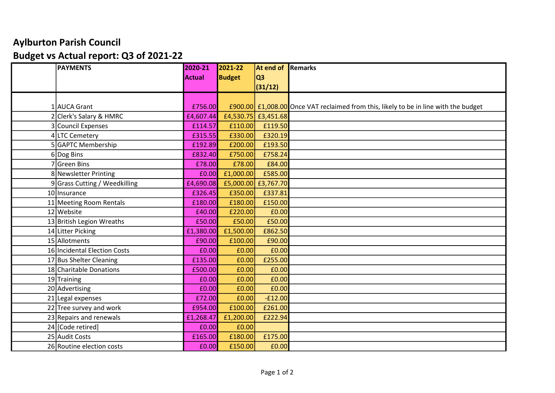## Aylburton Parish Council Budget vs Actual report: Q3 of 2021-22

| <b>PAYMENTS</b>               | 2020-21   | 2021-22       | <b>At end of Remarks</b> |                                                                                      |
|-------------------------------|-----------|---------------|--------------------------|--------------------------------------------------------------------------------------|
|                               | Actual    | <b>Budget</b> | <b>Q3</b>                |                                                                                      |
|                               |           |               | (31/12)                  |                                                                                      |
|                               |           |               |                          |                                                                                      |
| 1 AUCA Grant                  | £756.00   |               |                          | £900.00 £1,008.00 Once VAT reclaimed from this, likely to be in line with the budget |
| 2 Clerk's Salary & HMRC       | £4,607.44 |               | £4,530.75 £3,451.68      |                                                                                      |
| 3 Council Expenses            | £114.57   | £110.00       | £119.50                  |                                                                                      |
| 4 LTC Cemetery                | £315.55   | £330.00       | £320.19                  |                                                                                      |
| 5 GAPTC Membership            | £192.89   | £200.00       | £193.50                  |                                                                                      |
| 6 Dog Bins                    | £832.40   | £750.00       | £758.24                  |                                                                                      |
| ' Green Bins                  | £78.00    | £78.00        | £84.00                   |                                                                                      |
| 8 Newsletter Printing         | £0.00     | £1,000.00     | £585.00                  |                                                                                      |
| 9 Grass Cutting / Weedkilling | £4,690.08 |               | £5,000.00 £3,767.70      |                                                                                      |
| 10 Insurance                  | £326.45   | £350.00       | £337.81                  |                                                                                      |
| 11 Meeting Room Rentals       | £180.00   | £180.00       | £150.00                  |                                                                                      |
| 12 Website                    | £40.00    | £220.00       | £0.00                    |                                                                                      |
| 13 British Legion Wreaths     | £50.00    | £50.00        | £50.00                   |                                                                                      |
| 14 Litter Picking             | £1,380.00 | £1,500.00     | £862.50                  |                                                                                      |
| 15 Allotments                 | £90.00    | £100.00       | £90.00                   |                                                                                      |
| 16 Incidental Election Costs  | £0.00     | £0.00         | £0.00                    |                                                                                      |
| 17 Bus Shelter Cleaning       | £135.00   | £0.00         | £255.00                  |                                                                                      |
| 18 Charitable Donations       | £500.00   | £0.00         | £0.00                    |                                                                                      |
| $19$ Training                 | £0.00     | £0.00         | £0.00                    |                                                                                      |
| 20 Advertising                | £0.00     | £0.00         | £0.00                    |                                                                                      |
| 21 Legal expenses             | £72.00    | £0.00         | $-E12.00$                |                                                                                      |
| 22 Tree survey and work       | £954.00   | £100.00       | £261.00                  |                                                                                      |
| $23$ Repairs and renewals     | £1,268.47 | £1,200.00     | £222.94                  |                                                                                      |
| 24 [Code retired]             | £0.00     | £0.00         |                          |                                                                                      |
| 25 Audit Costs                | £165.00   | £180.00       | £175.00                  |                                                                                      |
| 26 Routine election costs     | £0.00     | £150.00       | £0.00                    |                                                                                      |